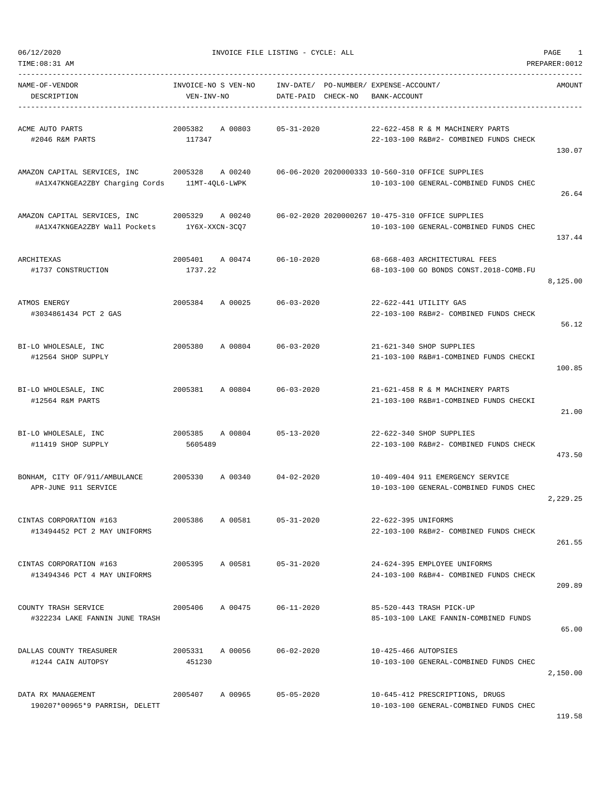| NAME-OF-VENDOR<br>DESCRIPTION                                                                 | INVOICE-NO S VEN-NO<br>VEN-INV-NO     | INV-DATE/ PO-NUMBER/ EXPENSE-ACCOUNT/<br>DATE-PAID CHECK-NO | BANK-ACCOUNT                                                                               | AMOUNT   |
|-----------------------------------------------------------------------------------------------|---------------------------------------|-------------------------------------------------------------|--------------------------------------------------------------------------------------------|----------|
| ACME AUTO PARTS<br>#2046 R&M PARTS                                                            | A 00803<br>2005382<br>117347          | 05-31-2020                                                  | 22-622-458 R & M MACHINERY PARTS<br>22-103-100 R&B#2- COMBINED FUNDS CHECK                 | 130.07   |
| AMAZON CAPITAL SERVICES, INC 2005328 A 00240<br>#A1X47KNGEA2ZBY Charging Cords 11MT-4QL6-LWPK |                                       |                                                             | 06-06-2020 2020000333 10-560-310 OFFICE SUPPLIES<br>10-103-100 GENERAL-COMBINED FUNDS CHEC | 26.64    |
| AMAZON CAPITAL SERVICES, INC<br>#A1X47KNGEA2ZBY Wall Pockets                                  | 2005329 A 00240<br>1Y6X-XXCN-3CQ7     |                                                             | 06-02-2020 2020000267 10-475-310 OFFICE SUPPLIES<br>10-103-100 GENERAL-COMBINED FUNDS CHEC | 137.44   |
| ARCHITEXAS<br>#1737 CONSTRUCTION                                                              | 2005401 A 00474 06-10-2020<br>1737.22 |                                                             | 68-668-403 ARCHITECTURAL FEES<br>68-103-100 GO BONDS CONST.2018-COMB.FU                    | 8,125.00 |
| ATMOS ENERGY<br>#3034861434 PCT 2 GAS                                                         | 2005384 A 00025 06-03-2020            |                                                             | 22-622-441 UTILITY GAS<br>22-103-100 R&B#2- COMBINED FUNDS CHECK                           | 56.12    |
| BI-LO WHOLESALE, INC<br>#12564 SHOP SUPPLY                                                    | 2005380                               | A 00804 06-03-2020                                          | 21-621-340 SHOP SUPPLIES<br>21-103-100 R&B#1-COMBINED FUNDS CHECKI                         | 100.85   |
| BI-LO WHOLESALE, INC<br>#12564 R&M PARTS                                                      | 2005381 A 00804                       | 06-03-2020                                                  | 21-621-458 R & M MACHINERY PARTS<br>21-103-100 R&B#1-COMBINED FUNDS CHECKI                 | 21.00    |
| BI-LO WHOLESALE, INC<br>#11419 SHOP SUPPLY                                                    | 2005385 A 00804<br>5605489            | $05 - 13 - 2020$                                            | 22-622-340 SHOP SUPPLIES<br>22-103-100 R&B#2- COMBINED FUNDS CHECK                         | 473.50   |
| BONHAM, CITY OF/911/AMBULANCE 2005330 A 00340 04-02-2020<br>APR-JUNE 911 SERVICE              |                                       |                                                             | 10-409-404 911 EMERGENCY SERVICE<br>10-103-100 GENERAL-COMBINED FUNDS CHEC                 | 2,229.25 |
| CINTAS CORPORATION #163<br>#13494452 PCT 2 MAY UNIFORMS                                       | 2005386<br>A 00581                    | $05 - 31 - 2020$                                            | 22-622-395 UNIFORMS<br>22-103-100 R&B#2- COMBINED FUNDS CHECK                              | 261.55   |
| CINTAS CORPORATION #163<br>#13494346 PCT 4 MAY UNIFORMS                                       | 2005395 A 00581                       | $05 - 31 - 2020$                                            | 24-624-395 EMPLOYEE UNIFORMS<br>24-103-100 R&B#4- COMBINED FUNDS CHECK                     | 209.89   |
| COUNTY TRASH SERVICE<br>#322234 LAKE FANNIN JUNE TRASH                                        | 2005406 A 00475                       | $06 - 11 - 2020$                                            | 85-520-443 TRASH PICK-UP<br>85-103-100 LAKE FANNIN-COMBINED FUNDS                          | 65.00    |
| DALLAS COUNTY TREASURER<br>#1244 CAIN AUTOPSY                                                 | 2005331 A 00056<br>451230             | $06 - 02 - 2020$                                            | 10-425-466 AUTOPSIES<br>10-103-100 GENERAL-COMBINED FUNDS CHEC                             | 2,150.00 |
| DATA RX MANAGEMENT<br>190207*00965*9 PARRISH, DELETT                                          | 2005407 A 00965                       | $05 - 05 - 2020$                                            | 10-645-412 PRESCRIPTIONS, DRUGS<br>10-103-100 GENERAL-COMBINED FUNDS CHEC                  |          |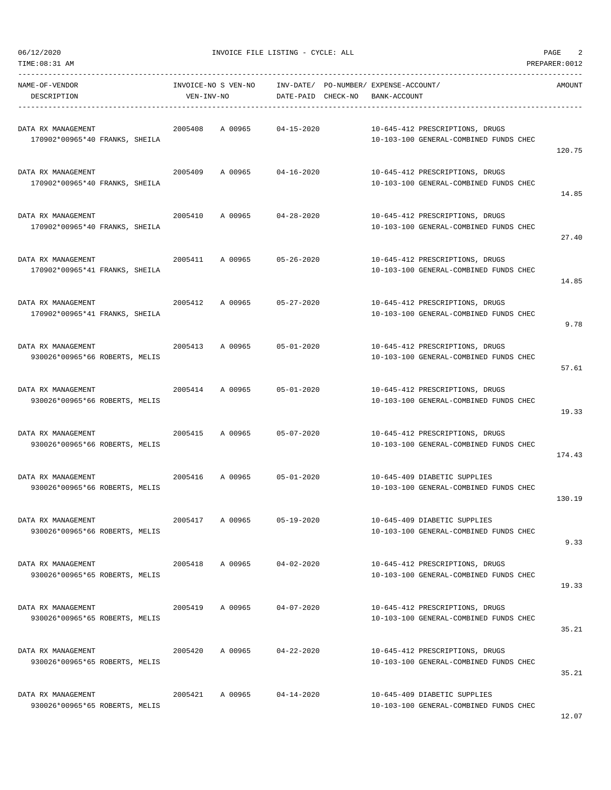| TIME:08:31 AM                                        |                     |                                       |                                                                           | PREPARER: 0012 |
|------------------------------------------------------|---------------------|---------------------------------------|---------------------------------------------------------------------------|----------------|
| NAME-OF-VENDOR                                       | INVOICE-NO S VEN-NO | INV-DATE/ PO-NUMBER/ EXPENSE-ACCOUNT/ |                                                                           | AMOUNT         |
| DESCRIPTION                                          | VEN-INV-NO          | DATE-PAID CHECK-NO                    | BANK-ACCOUNT                                                              |                |
| DATA RX MANAGEMENT<br>170902*00965*40 FRANKS, SHEILA | 2005408<br>A 00965  | $04 - 15 - 2020$                      | 10-645-412 PRESCRIPTIONS, DRUGS<br>10-103-100 GENERAL-COMBINED FUNDS CHEC |                |
| DATA RX MANAGEMENT                                   | 2005409<br>A 00965  | $04 - 16 - 2020$                      | 10-645-412 PRESCRIPTIONS, DRUGS                                           | 120.75         |
| 170902*00965*40 FRANKS, SHEILA                       |                     |                                       | 10-103-100 GENERAL-COMBINED FUNDS CHEC                                    | 14.85          |
| DATA RX MANAGEMENT<br>170902*00965*40 FRANKS, SHEILA | 2005410<br>A 00965  | 04-28-2020                            | 10-645-412 PRESCRIPTIONS, DRUGS<br>10-103-100 GENERAL-COMBINED FUNDS CHEC | 27.40          |
| DATA RX MANAGEMENT<br>170902*00965*41 FRANKS, SHEILA | 2005411<br>A 00965  | 05-26-2020                            | 10-645-412 PRESCRIPTIONS, DRUGS<br>10-103-100 GENERAL-COMBINED FUNDS CHEC | 14.85          |
| DATA RX MANAGEMENT<br>170902*00965*41 FRANKS, SHEILA | 2005412<br>A 00965  | $05 - 27 - 2020$                      | 10-645-412 PRESCRIPTIONS, DRUGS<br>10-103-100 GENERAL-COMBINED FUNDS CHEC | 9.78           |
| DATA RX MANAGEMENT<br>930026*00965*66 ROBERTS, MELIS | 2005413<br>A 00965  | $05 - 01 - 2020$                      | 10-645-412 PRESCRIPTIONS, DRUGS<br>10-103-100 GENERAL-COMBINED FUNDS CHEC | 57.61          |
| DATA RX MANAGEMENT<br>930026*00965*66 ROBERTS, MELIS | 2005414<br>A 00965  | $05 - 01 - 2020$                      | 10-645-412 PRESCRIPTIONS, DRUGS<br>10-103-100 GENERAL-COMBINED FUNDS CHEC | 19.33          |
| DATA RX MANAGEMENT<br>930026*00965*66 ROBERTS, MELIS | 2005415<br>A 00965  | $05 - 07 - 2020$                      | 10-645-412 PRESCRIPTIONS, DRUGS<br>10-103-100 GENERAL-COMBINED FUNDS CHEC | 174.43         |
| DATA RX MANAGEMENT<br>930026*00965*66 ROBERTS, MELIS | 2005416<br>A 00965  | $05 - 01 - 2020$                      | 10-645-409 DIABETIC SUPPLIES<br>10-103-100 GENERAL-COMBINED FUNDS CHEC    | 130.19         |
| DATA RX MANAGEMENT<br>930026*00965*66 ROBERTS, MELIS | 2005417<br>A 00965  | $05 - 19 - 2020$                      | 10-645-409 DIABETIC SUPPLIES<br>10-103-100 GENERAL-COMBINED FUNDS CHEC    | 9.33           |
| DATA RX MANAGEMENT<br>930026*00965*65 ROBERTS, MELIS | 2005418<br>A 00965  | $04 - 02 - 2020$                      | 10-645-412 PRESCRIPTIONS, DRUGS<br>10-103-100 GENERAL-COMBINED FUNDS CHEC | 19.33          |
| DATA RX MANAGEMENT<br>930026*00965*65 ROBERTS, MELIS | A 00965<br>2005419  | $04 - 07 - 2020$                      | 10-645-412 PRESCRIPTIONS, DRUGS<br>10-103-100 GENERAL-COMBINED FUNDS CHEC | 35.21          |
| DATA RX MANAGEMENT<br>930026*00965*65 ROBERTS, MELIS | 2005420<br>A 00965  | $04 - 22 - 2020$                      | 10-645-412 PRESCRIPTIONS, DRUGS<br>10-103-100 GENERAL-COMBINED FUNDS CHEC | 35.21          |
| DATA RX MANAGEMENT<br>930026*00965*65 ROBERTS, MELIS | 2005421<br>A 00965  | $04 - 14 - 2020$                      | 10-645-409 DIABETIC SUPPLIES<br>10-103-100 GENERAL-COMBINED FUNDS CHEC    |                |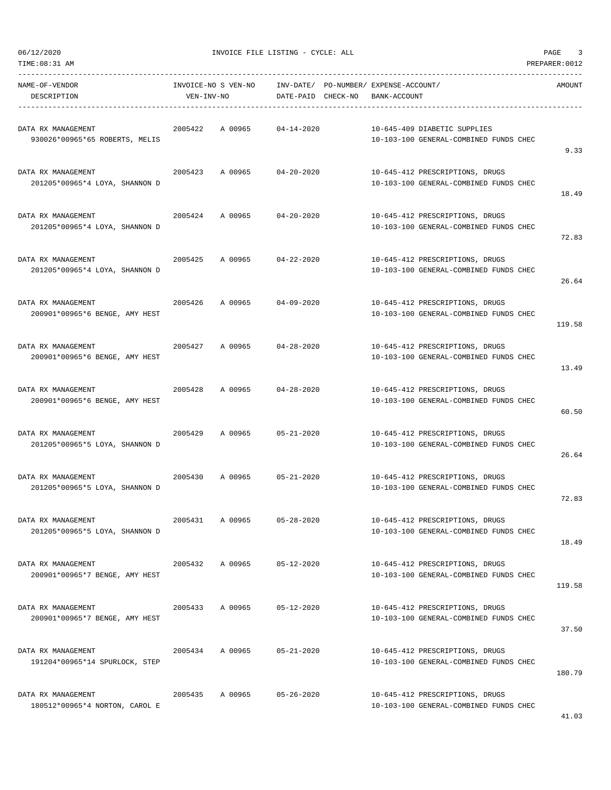| TIME: 08:31 AM                                       |                                   |                    |                  |                                                                          |                                                                           | PREPARER: 0012 |
|------------------------------------------------------|-----------------------------------|--------------------|------------------|--------------------------------------------------------------------------|---------------------------------------------------------------------------|----------------|
| NAME-OF-VENDOR<br>DESCRIPTION                        | INVOICE-NO S VEN-NO<br>VEN-INV-NO |                    |                  | INV-DATE/ PO-NUMBER/ EXPENSE-ACCOUNT/<br>DATE-PAID CHECK-NO BANK-ACCOUNT |                                                                           | AMOUNT         |
| DATA RX MANAGEMENT<br>930026*00965*65 ROBERTS, MELIS | 2005422                           | A 00965 04-14-2020 |                  |                                                                          | 10-645-409 DIABETIC SUPPLIES<br>10-103-100 GENERAL-COMBINED FUNDS CHEC    | 9.33           |
| DATA RX MANAGEMENT<br>201205*00965*4 LOYA, SHANNON D | 2005423 A 00965 04-20-2020        |                    |                  |                                                                          | 10-645-412 PRESCRIPTIONS, DRUGS<br>10-103-100 GENERAL-COMBINED FUNDS CHEC | 18.49          |
| DATA RX MANAGEMENT<br>201205*00965*4 LOYA, SHANNON D | 2005424 A 00965                   |                    | $04 - 20 - 2020$ |                                                                          | 10-645-412 PRESCRIPTIONS, DRUGS<br>10-103-100 GENERAL-COMBINED FUNDS CHEC | 72.83          |
| DATA RX MANAGEMENT<br>201205*00965*4 LOYA, SHANNON D | 2005425                           | A 00965 04-22-2020 |                  |                                                                          | 10-645-412 PRESCRIPTIONS, DRUGS<br>10-103-100 GENERAL-COMBINED FUNDS CHEC | 26.64          |
| DATA RX MANAGEMENT<br>200901*00965*6 BENGE, AMY HEST | 2005426                           | A 00965            | $04 - 09 - 2020$ |                                                                          | 10-645-412 PRESCRIPTIONS, DRUGS<br>10-103-100 GENERAL-COMBINED FUNDS CHEC | 119.58         |
| DATA RX MANAGEMENT<br>200901*00965*6 BENGE, AMY HEST | 2005427 A 00965 04-28-2020        |                    |                  |                                                                          | 10-645-412 PRESCRIPTIONS, DRUGS<br>10-103-100 GENERAL-COMBINED FUNDS CHEC | 13.49          |
| DATA RX MANAGEMENT<br>200901*00965*6 BENGE, AMY HEST | 2005428                           | A 00965 04-28-2020 |                  |                                                                          | 10-645-412 PRESCRIPTIONS, DRUGS<br>10-103-100 GENERAL-COMBINED FUNDS CHEC | 60.50          |
| DATA RX MANAGEMENT<br>201205*00965*5 LOYA, SHANNON D | 2005429                           | A 00965            | $05 - 21 - 2020$ |                                                                          | 10-645-412 PRESCRIPTIONS, DRUGS<br>10-103-100 GENERAL-COMBINED FUNDS CHEC | 26.64          |
| DATA RX MANAGEMENT<br>201205*00965*5 LOYA, SHANNON D | 2005430 A 00965 05-21-2020        |                    |                  |                                                                          | 10-645-412 PRESCRIPTIONS, DRUGS<br>10-103-100 GENERAL-COMBINED FUNDS CHEC | 72.83          |
| DATA RX MANAGEMENT<br>201205*00965*5 LOYA, SHANNON D | 2005431                           | A 00965            | $05 - 28 - 2020$ |                                                                          | 10-645-412 PRESCRIPTIONS, DRUGS<br>10-103-100 GENERAL-COMBINED FUNDS CHEC | 18.49          |
| DATA RX MANAGEMENT<br>200901*00965*7 BENGE, AMY HEST | 2005432                           | A 00965            | 05-12-2020       |                                                                          | 10-645-412 PRESCRIPTIONS, DRUGS<br>10-103-100 GENERAL-COMBINED FUNDS CHEC | 119.58         |
| DATA RX MANAGEMENT<br>200901*00965*7 BENGE, AMY HEST | 2005433                           | A 00965            | $05 - 12 - 2020$ |                                                                          | 10-645-412 PRESCRIPTIONS, DRUGS<br>10-103-100 GENERAL-COMBINED FUNDS CHEC | 37.50          |
| DATA RX MANAGEMENT<br>191204*00965*14 SPURLOCK, STEP | 2005434                           | A 00965            | $05 - 21 - 2020$ |                                                                          | 10-645-412 PRESCRIPTIONS, DRUGS<br>10-103-100 GENERAL-COMBINED FUNDS CHEC | 180.79         |
| DATA RX MANAGEMENT<br>180512*00965*4 NORTON, CAROL E | 2005435                           | A 00965            | $05 - 26 - 2020$ |                                                                          | 10-645-412 PRESCRIPTIONS, DRUGS<br>10-103-100 GENERAL-COMBINED FUNDS CHEC |                |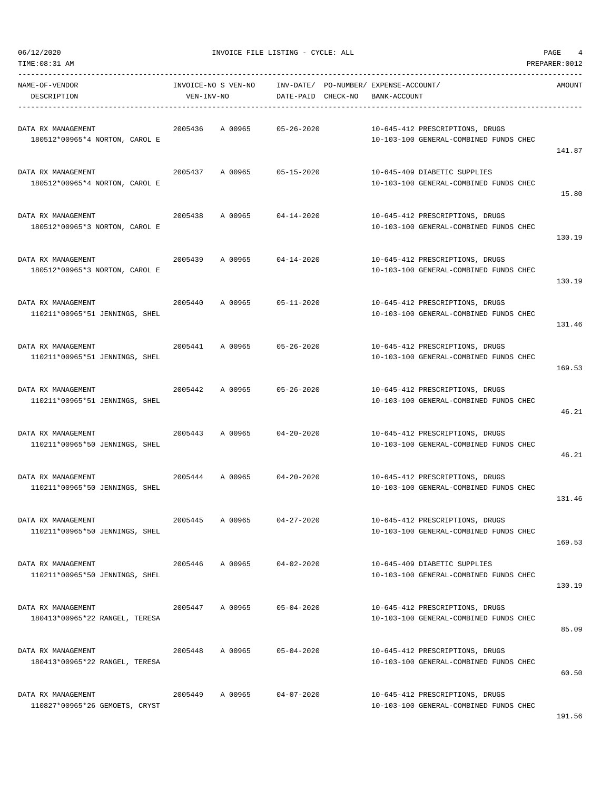| TIME: 08:31 AM                                       |            |                     |                    |                                                                           | PREPARER: 0012 |
|------------------------------------------------------|------------|---------------------|--------------------|---------------------------------------------------------------------------|----------------|
| NAME-OF-VENDOR<br>DESCRIPTION                        | VEN-INV-NO | INVOICE-NO S VEN-NO | DATE-PAID CHECK-NO | INV-DATE/ PO-NUMBER/ EXPENSE-ACCOUNT/<br>BANK-ACCOUNT                     | AMOUNT         |
| DATA RX MANAGEMENT<br>180512*00965*4 NORTON, CAROL E | 2005436    | A 00965             | $05 - 26 - 2020$   | 10-645-412 PRESCRIPTIONS, DRUGS<br>10-103-100 GENERAL-COMBINED FUNDS CHEC | 141.87         |
| DATA RX MANAGEMENT<br>180512*00965*4 NORTON, CAROL E | 2005437    | A 00965             | 05-15-2020         | 10-645-409 DIABETIC SUPPLIES<br>10-103-100 GENERAL-COMBINED FUNDS CHEC    | 15.80          |
| DATA RX MANAGEMENT<br>180512*00965*3 NORTON, CAROL E | 2005438    | A 00965             | $04 - 14 - 2020$   | 10-645-412 PRESCRIPTIONS, DRUGS<br>10-103-100 GENERAL-COMBINED FUNDS CHEC | 130.19         |
| DATA RX MANAGEMENT<br>180512*00965*3 NORTON, CAROL E | 2005439    | A 00965             | $04 - 14 - 2020$   | 10-645-412 PRESCRIPTIONS, DRUGS<br>10-103-100 GENERAL-COMBINED FUNDS CHEC | 130.19         |
| DATA RX MANAGEMENT<br>110211*00965*51 JENNINGS, SHEL | 2005440    | A 00965             | $05 - 11 - 2020$   | 10-645-412 PRESCRIPTIONS, DRUGS<br>10-103-100 GENERAL-COMBINED FUNDS CHEC | 131.46         |
| DATA RX MANAGEMENT<br>110211*00965*51 JENNINGS, SHEL | 2005441    | A 00965             | $05 - 26 - 2020$   | 10-645-412 PRESCRIPTIONS, DRUGS<br>10-103-100 GENERAL-COMBINED FUNDS CHEC | 169.53         |
| DATA RX MANAGEMENT<br>110211*00965*51 JENNINGS, SHEL | 2005442    | A 00965             | $05 - 26 - 2020$   | 10-645-412 PRESCRIPTIONS, DRUGS<br>10-103-100 GENERAL-COMBINED FUNDS CHEC | 46.21          |
| DATA RX MANAGEMENT<br>110211*00965*50 JENNINGS, SHEL | 2005443    | A 00965             | $04 - 20 - 2020$   | 10-645-412 PRESCRIPTIONS, DRUGS<br>10-103-100 GENERAL-COMBINED FUNDS CHEC | 46.21          |
| DATA RX MANAGEMENT<br>110211*00965*50 JENNINGS, SHEL | 2005444    | A 00965             | $04 - 20 - 2020$   | 10-645-412 PRESCRIPTIONS, DRUGS<br>10-103-100 GENERAL-COMBINED FUNDS CHEC | 131.46         |
| DATA RX MANAGEMENT<br>110211*00965*50 JENNINGS, SHEL | 2005445    | A 00965             | $04 - 27 - 2020$   | 10-645-412 PRESCRIPTIONS, DRUGS<br>10-103-100 GENERAL-COMBINED FUNDS CHEC | 169.53         |
| DATA RX MANAGEMENT<br>110211*00965*50 JENNINGS, SHEL | 2005446    | A 00965             | $04 - 02 - 2020$   | 10-645-409 DIABETIC SUPPLIES<br>10-103-100 GENERAL-COMBINED FUNDS CHEC    | 130.19         |
| DATA RX MANAGEMENT<br>180413*00965*22 RANGEL, TERESA | 2005447    | A 00965             | $05 - 04 - 2020$   | 10-645-412 PRESCRIPTIONS, DRUGS<br>10-103-100 GENERAL-COMBINED FUNDS CHEC | 85.09          |
| DATA RX MANAGEMENT<br>180413*00965*22 RANGEL, TERESA | 2005448    | A 00965             | $05 - 04 - 2020$   | 10-645-412 PRESCRIPTIONS, DRUGS<br>10-103-100 GENERAL-COMBINED FUNDS CHEC | 60.50          |
| DATA RX MANAGEMENT<br>110827*00965*26 GEMOETS, CRYST | 2005449    | A 00965             | $04 - 07 - 2020$   | 10-645-412 PRESCRIPTIONS, DRUGS<br>10-103-100 GENERAL-COMBINED FUNDS CHEC |                |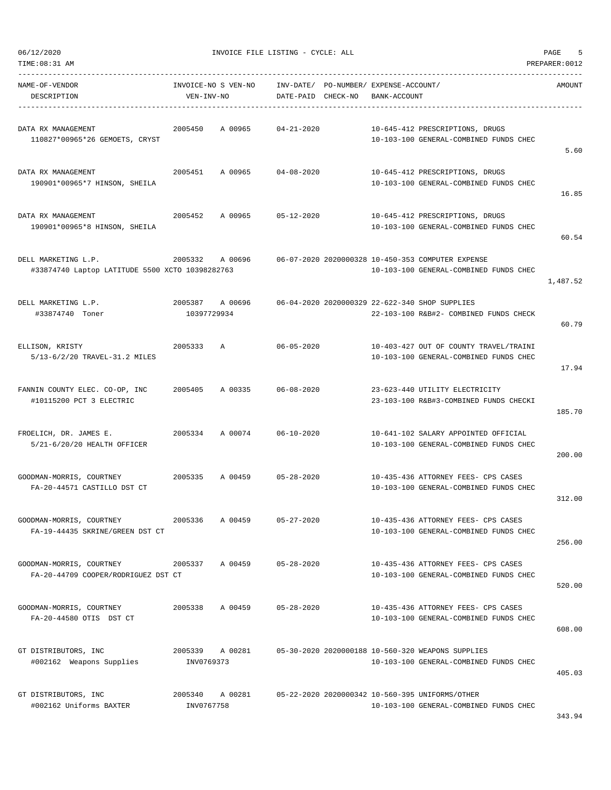| TIME: 08:31 AM                                                         |                               |                                                           |                    |              |                                                                                             | PREPARER: 0012 |
|------------------------------------------------------------------------|-------------------------------|-----------------------------------------------------------|--------------------|--------------|---------------------------------------------------------------------------------------------|----------------|
| NAME-OF-VENDOR<br>DESCRIPTION                                          | VEN-INV-NO                    | INVOICE-NO S VEN-NO INV-DATE/ PO-NUMBER/ EXPENSE-ACCOUNT/ | DATE-PAID CHECK-NO | BANK-ACCOUNT |                                                                                             | AMOUNT         |
| DATA RX MANAGEMENT<br>110827*00965*26 GEMOETS, CRYST                   | 2005450                       | A 00965                                                   | $04 - 21 - 2020$   |              | 10-645-412 PRESCRIPTIONS, DRUGS<br>10-103-100 GENERAL-COMBINED FUNDS CHEC                   | 5.60           |
| DATA RX MANAGEMENT<br>190901*00965*7 HINSON, SHEILA                    |                               | 2005451 A 00965 04-08-2020                                |                    |              | 10-645-412 PRESCRIPTIONS, DRUGS<br>10-103-100 GENERAL-COMBINED FUNDS CHEC                   | 16.85          |
| DATA RX MANAGEMENT<br>190901*00965*8 HINSON, SHEILA                    | 2005452                       | A 00965                                                   | 05-12-2020         |              | 10-645-412 PRESCRIPTIONS, DRUGS<br>10-103-100 GENERAL-COMBINED FUNDS CHEC                   | 60.54          |
| DELL MARKETING L.P.<br>#33874740 Laptop LATITUDE 5500 XCTO 10398282763 | 2005332                       | A 00696                                                   |                    |              | 06-07-2020 2020000328 10-450-353 COMPUTER EXPENSE<br>10-103-100 GENERAL-COMBINED FUNDS CHEC | 1,487.52       |
| DELL MARKETING L.P.<br>#33874740 Toner                                 | 2005387 A00696<br>10397729934 |                                                           |                    |              | 06-04-2020 2020000329 22-622-340 SHOP SUPPLIES<br>22-103-100 R&B#2- COMBINED FUNDS CHECK    | 60.79          |
| ELLISON, KRISTY<br>5/13-6/2/20 TRAVEL-31.2 MILES                       | 2005333                       | <b>A</b>                                                  | 06-05-2020         |              | 10-403-427 OUT OF COUNTY TRAVEL/TRAINI<br>10-103-100 GENERAL-COMBINED FUNDS CHEC            | 17.94          |
| FANNIN COUNTY ELEC. CO-OP, INC<br>#10115200 PCT 3 ELECTRIC             | 2005405                       | A 00335 06-08-2020                                        |                    |              | 23-623-440 UTILITY ELECTRICITY<br>23-103-100 R&B#3-COMBINED FUNDS CHECKI                    | 185.70         |
| FROELICH, DR. JAMES E.<br>2005334<br>5/21-6/20/20 HEALTH OFFICER       |                               | A 00074 06-10-2020                                        |                    |              | 10-641-102 SALARY APPOINTED OFFICIAL<br>10-103-100 GENERAL-COMBINED FUNDS CHEC              | 200.00         |
| GOODMAN-MORRIS, COURTNEY<br>FA-20-44571 CASTILLO DST CT                | 2005335                       | A 00459 05-28-2020                                        |                    |              | 10-435-436 ATTORNEY FEES- CPS CASES<br>10-103-100 GENERAL-COMBINED FUNDS CHEC               | 312.00         |
| GOODMAN-MORRIS, COURTNEY<br>FA-19-44435 SKRINE/GREEN DST CT            | 2005336                       | A 00459                                                   | $05 - 27 - 2020$   |              | 10-435-436 ATTORNEY FEES- CPS CASES<br>10-103-100 GENERAL-COMBINED FUNDS CHEC               | 256.00         |
| GOODMAN-MORRIS, COURTNEY<br>FA-20-44709 COOPER/RODRIGUEZ DST CT        | 2005337                       | A 00459                                                   | $05 - 28 - 2020$   |              | 10-435-436 ATTORNEY FEES- CPS CASES<br>10-103-100 GENERAL-COMBINED FUNDS CHEC               | 520.00         |
| GOODMAN-MORRIS, COURTNEY<br>FA-20-44580 OTIS DST CT                    | 2005338                       | A 00459                                                   | $05 - 28 - 2020$   |              | 10-435-436 ATTORNEY FEES- CPS CASES<br>10-103-100 GENERAL-COMBINED FUNDS CHEC               | 608.00         |
| GT DISTRIBUTORS, INC<br>#002162 Weapons Supplies                       | 2005339<br>INV0769373         | A 00281                                                   |                    |              | 05-30-2020 2020000188 10-560-320 WEAPONS SUPPLIES<br>10-103-100 GENERAL-COMBINED FUNDS CHEC | 405.03         |
| GT DISTRIBUTORS, INC<br>#002162 Uniforms BAXTER                        | 2005340<br>INV0767758         | A 00281                                                   |                    |              | 05-22-2020 2020000342 10-560-395 UNIFORMS/OTHER<br>10-103-100 GENERAL-COMBINED FUNDS CHEC   |                |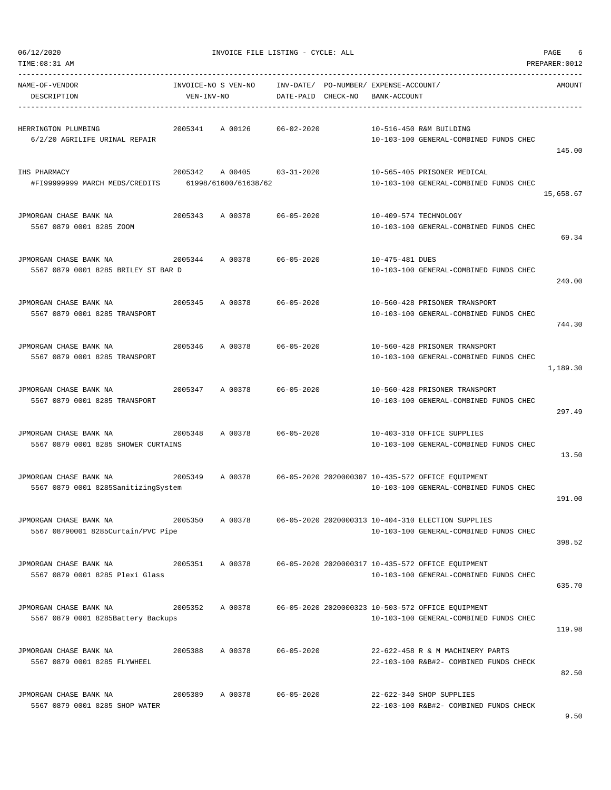| TIME: 08:31 AM                                                |                                   |                                            |                    |                                                       |                                                                                                             | PREPARER: 0012 |
|---------------------------------------------------------------|-----------------------------------|--------------------------------------------|--------------------|-------------------------------------------------------|-------------------------------------------------------------------------------------------------------------|----------------|
| NAME-OF-VENDOR<br>DESCRIPTION                                 | INVOICE-NO S VEN-NO<br>VEN-INV-NO |                                            | DATE-PAID CHECK-NO | INV-DATE/ PO-NUMBER/ EXPENSE-ACCOUNT/<br>BANK-ACCOUNT |                                                                                                             | AMOUNT         |
| HERRINGTON PLUMBING<br>6/2/20 AGRILIFE URINAL REPAIR          | 2005341                           | A 00126                                    | $06 - 02 - 2020$   |                                                       | 10-516-450 R&M BUILDING<br>10-103-100 GENERAL-COMBINED FUNDS CHEC                                           | 145.00         |
| IHS PHARMACY<br>#FI99999999 MARCH MEDS/CREDITS                | 2005342                           | A 00405 03-31-2020<br>61998/61600/61638/62 |                    |                                                       | 10-565-405 PRISONER MEDICAL<br>10-103-100 GENERAL-COMBINED FUNDS CHEC                                       | 15,658.67      |
| JPMORGAN CHASE BANK NA<br>5567 0879 0001 8285 ZOOM            | 2005343                           | A 00378                                    | $06 - 05 - 2020$   |                                                       | 10-409-574 TECHNOLOGY<br>10-103-100 GENERAL-COMBINED FUNDS CHEC                                             | 69.34          |
| JPMORGAN CHASE BANK NA<br>5567 0879 0001 8285 BRILEY ST BAR D | 2005344                           | A 00378                                    | $06 - 05 - 2020$   | 10-475-481 DUES                                       | 10-103-100 GENERAL-COMBINED FUNDS CHEC                                                                      | 240.00         |
| JPMORGAN CHASE BANK NA<br>5567 0879 0001 8285 TRANSPORT       | 2005345                           | A 00378                                    | $06 - 05 - 2020$   |                                                       | 10-560-428 PRISONER TRANSPORT<br>10-103-100 GENERAL-COMBINED FUNDS CHEC                                     | 744.30         |
| JPMORGAN CHASE BANK NA<br>5567 0879 0001 8285 TRANSPORT       | 2005346                           | A 00378                                    | $06 - 05 - 2020$   |                                                       | 10-560-428 PRISONER TRANSPORT<br>10-103-100 GENERAL-COMBINED FUNDS CHEC                                     | 1,189.30       |
| JPMORGAN CHASE BANK NA<br>5567 0879 0001 8285 TRANSPORT       | 2005347                           | A 00378                                    | $06 - 05 - 2020$   |                                                       | 10-560-428 PRISONER TRANSPORT<br>10-103-100 GENERAL-COMBINED FUNDS CHEC                                     | 297.49         |
| JPMORGAN CHASE BANK NA<br>5567 0879 0001 8285 SHOWER CURTAINS | 2005348                           | A 00378                                    | $06 - 05 - 2020$   |                                                       | 10-403-310 OFFICE SUPPLIES<br>10-103-100 GENERAL-COMBINED FUNDS CHEC                                        | 13.50          |
| JPMORGAN CHASE BANK NA<br>5567 0879 0001 8285SanitizingSystem | 2005349                           | A 00378                                    |                    |                                                       | 06-05-2020 2020000307 10-435-572 OFFICE EQUIPMENT<br>10-103-100 GENERAL-COMBINED FUNDS CHEC                 | 191.00         |
| JPMORGAN CHASE BANK NA<br>5567 08790001 8285Curtain/PVC Pipe  | 2005350                           | A 00378                                    |                    |                                                       | 06-05-2020 2020000313 10-404-310 ELECTION SUPPLIES<br>10-103-100 GENERAL-COMBINED FUNDS CHEC                | 398.52         |
| JPMORGAN CHASE BANK NA<br>5567 0879 0001 8285 Plexi Glass     | 2005351 A 00378                   |                                            |                    |                                                       | 06-05-2020 2020000317 10-435-572 OFFICE EQUIPMENT<br>10-103-100 GENERAL-COMBINED FUNDS CHEC                 | 635.70         |
| JPMORGAN CHASE BANK NA<br>5567 0879 0001 8285Battery Backups  |                                   |                                            |                    |                                                       | 2005352 A 00378 06-05-2020 2020000323 10-503-572 OFFICE EQUIPMENT<br>10-103-100 GENERAL-COMBINED FUNDS CHEC | 119.98         |
| JPMORGAN CHASE BANK NA<br>5567 0879 0001 8285 FLYWHEEL        | 2005388                           | A 00378                                    | 06-05-2020         |                                                       | 22-622-458 R & M MACHINERY PARTS<br>22-103-100 R&B#2- COMBINED FUNDS CHECK                                  | 82.50          |
| JPMORGAN CHASE BANK NA<br>5567 0879 0001 8285 SHOP WATER      | 2005389                           | A 00378                                    | $06 - 05 - 2020$   |                                                       | 22-622-340 SHOP SUPPLIES<br>22-103-100 R&B#2- COMBINED FUNDS CHECK                                          |                |

9.50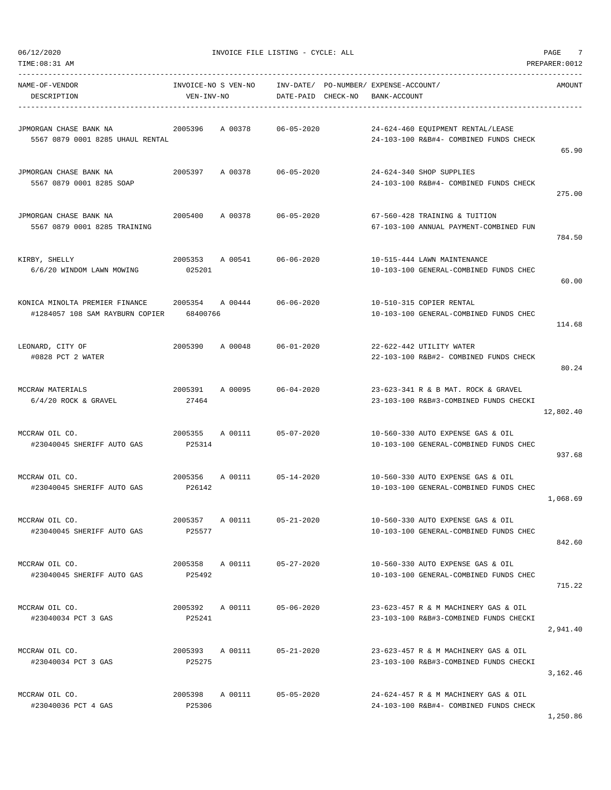|  | 06/12/2020 |  |
|--|------------|--|
|  |            |  |
|  |            |  |

| TIME:08:31 AM                                                     |                                   |                 |                            |                                                       |                                                                                | PREPARER: 0012 |
|-------------------------------------------------------------------|-----------------------------------|-----------------|----------------------------|-------------------------------------------------------|--------------------------------------------------------------------------------|----------------|
| NAME-OF-VENDOR<br>DESCRIPTION                                     | INVOICE-NO S VEN-NO<br>VEN-INV-NO |                 | DATE-PAID CHECK-NO         | INV-DATE/ PO-NUMBER/ EXPENSE-ACCOUNT/<br>BANK-ACCOUNT |                                                                                | AMOUNT         |
| JPMORGAN CHASE BANK NA<br>5567 0879 0001 8285 UHAUL RENTAL        | 2005396                           | A 00378         | $06 - 05 - 2020$           |                                                       | 24-624-460 EQUIPMENT RENTAL/LEASE<br>24-103-100 R&B#4- COMBINED FUNDS CHECK    | 65.90          |
| JPMORGAN CHASE BANK NA<br>5567 0879 0001 8285 SOAP                | 2005397                           | A 00378         | $06 - 05 - 2020$           |                                                       | 24-624-340 SHOP SUPPLIES<br>24-103-100 R&B#4- COMBINED FUNDS CHECK             | 275.00         |
| JPMORGAN CHASE BANK NA<br>5567 0879 0001 8285 TRAINING            | 2005400                           | A 00378         | $06 - 05 - 2020$           |                                                       | 67-560-428 TRAINING & TUITION<br>67-103-100 ANNUAL PAYMENT-COMBINED FUN        | 784.50         |
| KIRBY, SHELLY<br>6/6/20 WINDOM LAWN MOWING                        | 2005353<br>025201                 | A 00541         | $06 - 06 - 2020$           |                                                       | 10-515-444 LAWN MAINTENANCE<br>10-103-100 GENERAL-COMBINED FUNDS CHEC          | 60.00          |
| KONICA MINOLTA PREMIER FINANCE<br>#1284057 108 SAM RAYBURN COPIER | 2005354<br>68400766               | A 00444         | $06 - 06 - 2020$           |                                                       | 10-510-315 COPIER RENTAL<br>10-103-100 GENERAL-COMBINED FUNDS CHEC             | 114.68         |
| LEONARD, CITY OF<br>#0828 PCT 2 WATER                             | 2005390                           | A 00048         | $06 - 01 - 2020$           |                                                       | 22-622-442 UTILITY WATER<br>22-103-100 R&B#2- COMBINED FUNDS CHECK             | 80.24          |
| MCCRAW MATERIALS<br>$6/4/20$ ROCK & GRAVEL                        | 2005391<br>27464                  | A 00095         | $06 - 04 - 2020$           |                                                       | 23-623-341 R & B MAT. ROCK & GRAVEL<br>23-103-100 R&B#3-COMBINED FUNDS CHECKI  | 12,802.40      |
| MCCRAW OIL CO.<br>#23040045 SHERIFF AUTO GAS                      | 2005355<br>P25314                 | A 00111         | $05 - 07 - 2020$           |                                                       | 10-560-330 AUTO EXPENSE GAS & OIL<br>10-103-100 GENERAL-COMBINED FUNDS CHEC    | 937.68         |
| MCCRAW OIL CO.<br>#23040045 SHERIFF AUTO GAS                      | 2005356<br>P26142                 | A 00111         | $05 - 14 - 2020$           |                                                       | 10-560-330 AUTO EXPENSE GAS & OIL<br>10-103-100 GENERAL-COMBINED FUNDS CHEC    | 1,068.69       |
| MCCRAW OIL CO.<br>#23040045 SHERIFF AUTO GAS                      | 2005357 A 00111<br>P25577         |                 | $05 - 21 - 2020$           |                                                       | 10-560-330 AUTO EXPENSE GAS & OIL<br>10-103-100 GENERAL-COMBINED FUNDS CHEC    | 842.60         |
| MCCRAW OIL CO.<br>#23040045 SHERIFF AUTO GAS                      | P25492                            |                 | 2005358 A 00111 05-27-2020 |                                                       | 10-560-330 AUTO EXPENSE GAS & OIL<br>10-103-100 GENERAL-COMBINED FUNDS CHEC    | 715.22         |
| MCCRAW OIL CO.<br>#23040034 PCT 3 GAS                             | 2005392 A 00111<br>P25241         |                 | $05 - 06 - 2020$           |                                                       | 23-623-457 R & M MACHINERY GAS & OIL<br>23-103-100 R&B#3-COMBINED FUNDS CHECKI | 2,941.40       |
| MCCRAW OIL CO.<br>#23040034 PCT 3 GAS                             | 2005393 A 00111<br>P25275         |                 | $05 - 21 - 2020$           |                                                       | 23-623-457 R & M MACHINERY GAS & OIL<br>23-103-100 R&B#3-COMBINED FUNDS CHECKI | 3,162.46       |
| MCCRAW OIL CO.<br>#23040036 PCT 4 GAS                             | P25306                            | 2005398 A 00111 | $05 - 05 - 2020$           |                                                       | 24-624-457 R & M MACHINERY GAS & OIL<br>24-103-100 R&B#4- COMBINED FUNDS CHECK | 1,250.86       |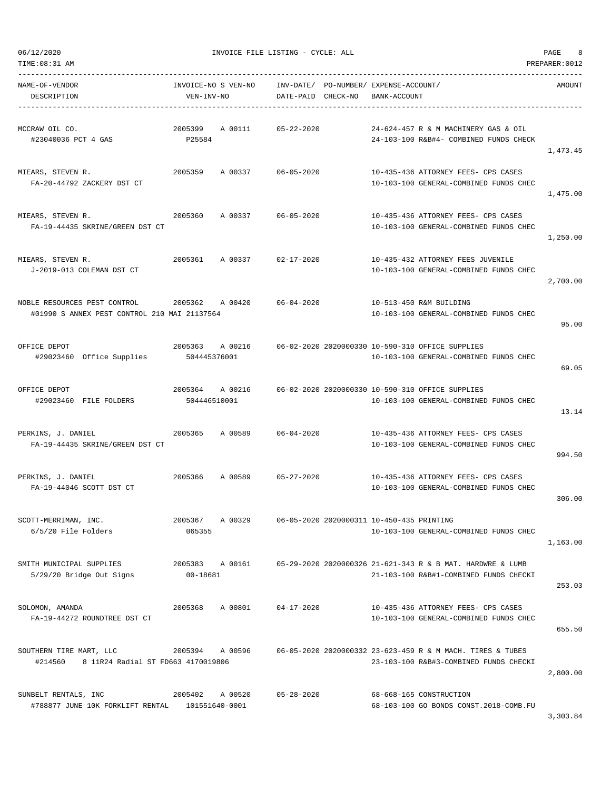TIME:08:31 AM PREPARER:0012

| ---------------<br>NAME-OF-VENDOR<br>DESCRIPTION                             | INVOICE-NO S VEN-NO<br>VEN-INV-NO |                 | DATE-PAID CHECK-NO | INV-DATE/ PO-NUMBER/ EXPENSE-ACCOUNT/<br>BANK-ACCOUNT |                                                                                                      | AMOUNT   |
|------------------------------------------------------------------------------|-----------------------------------|-----------------|--------------------|-------------------------------------------------------|------------------------------------------------------------------------------------------------------|----------|
| MCCRAW OIL CO.<br>#23040036 PCT 4 GAS                                        | 2005399<br>P25584                 | A 00111         | $05 - 22 - 2020$   |                                                       | 24-624-457 R & M MACHINERY GAS & OIL<br>24-103-100 R&B#4- COMBINED FUNDS CHECK                       | 1,473.45 |
| MIEARS, STEVEN R.<br>FA-20-44792 ZACKERY DST CT                              | 2005359                           | A 00337         | $06 - 05 - 2020$   |                                                       | 10-435-436 ATTORNEY FEES- CPS CASES<br>10-103-100 GENERAL-COMBINED FUNDS CHEC                        | 1,475.00 |
| MIEARS, STEVEN R.<br>FA-19-44435 SKRINE/GREEN DST CT                         | 2005360                           | A 00337         | 06-05-2020         |                                                       | 10-435-436 ATTORNEY FEES- CPS CASES<br>10-103-100 GENERAL-COMBINED FUNDS CHEC                        | 1,250.00 |
| MIEARS, STEVEN R.<br>J-2019-013 COLEMAN DST CT                               | 2005361                           | A 00337         | 02-17-2020         |                                                       | 10-435-432 ATTORNEY FEES JUVENILE<br>10-103-100 GENERAL-COMBINED FUNDS CHEC                          | 2,700.00 |
| NOBLE RESOURCES PEST CONTROL<br>#01990 S ANNEX PEST CONTROL 210 MAI 21137564 | 2005362 A00420                    |                 | $06 - 04 - 2020$   |                                                       | 10-513-450 R&M BUILDING<br>10-103-100 GENERAL-COMBINED FUNDS CHEC                                    | 95.00    |
| OFFICE DEPOT<br>#29023460 Office Supplies                                    | 2005363 A 00216<br>504445376001   |                 |                    |                                                       | 06-02-2020 2020000330 10-590-310 OFFICE SUPPLIES<br>10-103-100 GENERAL-COMBINED FUNDS CHEC           | 69.05    |
| OFFICE DEPOT<br>#29023460 FILE FOLDERS                                       | 504446510001                      | 2005364 A 00216 |                    |                                                       | 06-02-2020 2020000330 10-590-310 OFFICE SUPPLIES<br>10-103-100 GENERAL-COMBINED FUNDS CHEC           | 13.14    |
| PERKINS, J. DANIEL<br>FA-19-44435 SKRINE/GREEN DST CT                        | 2005365                           |                 | A 00589 06-04-2020 |                                                       | 10-435-436 ATTORNEY FEES- CPS CASES<br>10-103-100 GENERAL-COMBINED FUNDS CHEC                        | 994.50   |
| PERKINS, J. DANIEL<br>FA-19-44046 SCOTT DST CT                               | 2005366                           | A 00589         | $05 - 27 - 2020$   |                                                       | 10-435-436 ATTORNEY FEES- CPS CASES<br>10-103-100 GENERAL-COMBINED FUNDS CHEC                        | 306.00   |
| SCOTT-MERRIMAN, INC.<br>6/5/20 File Folders                                  | 2005367<br>065355                 | A 00329         |                    | 06-05-2020 2020000311 10-450-435 PRINTING             | 10-103-100 GENERAL-COMBINED FUNDS CHEC                                                               | 1,163.00 |
| SMITH MUNICIPAL SUPPLIES<br>5/29/20 Bridge Out Signs                         | 2005383<br>00-18681               | A 00161         |                    |                                                       | 05-29-2020 2020000326 21-621-343 R & B MAT. HARDWRE & LUMB<br>21-103-100 R&B#1-COMBINED FUNDS CHECKI | 253.03   |
| SOLOMON, AMANDA<br>FA-19-44272 ROUNDTREE DST CT                              | 2005368                           | A 00801         | $04 - 17 - 2020$   |                                                       | 10-435-436 ATTORNEY FEES- CPS CASES<br>10-103-100 GENERAL-COMBINED FUNDS CHEC                        | 655.50   |
| SOUTHERN TIRE MART, LLC<br>8 11R24 Radial ST FD663 4170019806<br>#214560     | 2005394                           | A 00596         |                    |                                                       | 06-05-2020 2020000332 23-623-459 R & M MACH. TIRES & TUBES<br>23-103-100 R&B#3-COMBINED FUNDS CHECKI | 2,800.00 |
| SUNBELT RENTALS, INC<br>#788877 JUNE 10K FORKLIFT RENTAL                     | 2005402<br>101551640-0001         | A 00520         | $05 - 28 - 2020$   |                                                       | 68-668-165 CONSTRUCTION<br>68-103-100 GO BONDS CONST.2018-COMB.FU                                    | 3,303.84 |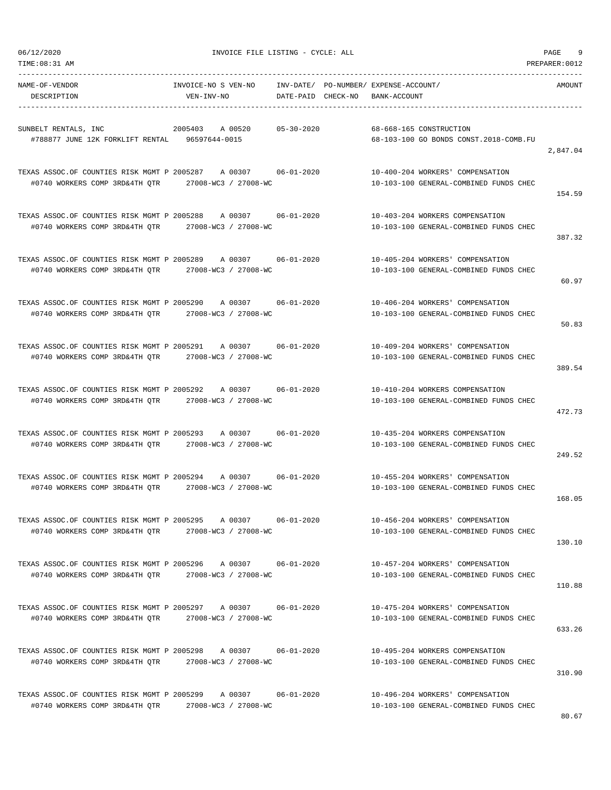| NAME-OF-VENDOR<br>DESCRIPTION                                                 | INVOICE-NO S VEN-NO INV-DATE/ PO-NUMBER/ EXPENSE-ACCOUNT/<br>VEN-INV-NO |                    | DATE-PAID CHECK-NO | BANK-ACCOUNT |                                                                            | AMOUNT   |
|-------------------------------------------------------------------------------|-------------------------------------------------------------------------|--------------------|--------------------|--------------|----------------------------------------------------------------------------|----------|
|                                                                               |                                                                         |                    |                    |              |                                                                            |          |
| SUNBELT RENTALS, INC<br>#788877 JUNE 12K FORKLIFT RENTAL 96597644-0015        | 2005403 A 00520                                                         |                    | 05-30-2020         |              | 68-668-165 CONSTRUCTION<br>68-103-100 GO BONDS CONST.2018-COMB.FU          |          |
|                                                                               |                                                                         |                    |                    |              |                                                                            | 2,847.04 |
| TEXAS ASSOC.OF COUNTIES RISK MGMT P 2005287 A 00307 06-01-2020                |                                                                         |                    |                    |              | 10-400-204 WORKERS' COMPENSATION                                           |          |
| #0740 WORKERS COMP 3RD&4TH QTR 27008-WC3 / 27008-WC                           |                                                                         |                    |                    |              | 10-103-100 GENERAL-COMBINED FUNDS CHEC                                     |          |
|                                                                               |                                                                         |                    |                    |              |                                                                            | 154.59   |
| TEXAS ASSOC.OF COUNTIES RISK MGMT P 2005288 A 00307 06-01-2020                |                                                                         |                    |                    |              | 10-403-204 WORKERS COMPENSATION                                            |          |
| #0740 WORKERS COMP 3RD&4TH QTR 27008-WC3 / 27008-WC                           |                                                                         |                    |                    |              | 10-103-100 GENERAL-COMBINED FUNDS CHEC                                     |          |
|                                                                               |                                                                         |                    |                    |              |                                                                            | 387.32   |
| TEXAS ASSOC.OF COUNTIES RISK MGMT P 2005289 A 00307                           |                                                                         |                    | 06-01-2020         |              | 10-405-204 WORKERS' COMPENSATION                                           |          |
| #0740 WORKERS COMP 3RD&4TH OTR 27008-WC3 / 27008-WC                           |                                                                         |                    |                    |              | 10-103-100 GENERAL-COMBINED FUNDS CHEC                                     | 60.97    |
|                                                                               |                                                                         |                    |                    |              |                                                                            |          |
| TEXAS ASSOC.OF COUNTIES RISK MGMT P 2005290 A 00307 06-01-2020                |                                                                         |                    |                    |              | 10-406-204 WORKERS' COMPENSATION                                           |          |
| #0740 WORKERS COMP 3RD&4TH OTR 27008-WC3 / 27008-WC                           |                                                                         |                    |                    |              | 10-103-100 GENERAL-COMBINED FUNDS CHEC                                     | 50.83    |
|                                                                               |                                                                         |                    |                    |              |                                                                            |          |
|                                                                               |                                                                         |                    |                    |              | 10-409-204 WORKERS' COMPENSATION                                           |          |
| #0740 WORKERS COMP 3RD&4TH QTR 27008-WC3 / 27008-WC                           |                                                                         |                    |                    |              | 10-103-100 GENERAL-COMBINED FUNDS CHEC                                     | 389.54   |
|                                                                               |                                                                         |                    |                    |              |                                                                            |          |
| TEXAS ASSOC.OF COUNTIES RISK MGMT P 2005292<br>#0740 WORKERS COMP 3RD&4TH QTR | 27008-WC3 / 27008-WC                                                    | A 00307 06-01-2020 |                    |              | 10-410-204 WORKERS COMPENSATION<br>10-103-100 GENERAL-COMBINED FUNDS CHEC  |          |
|                                                                               |                                                                         |                    |                    |              |                                                                            | 472.73   |
| TEXAS ASSOC.OF COUNTIES RISK MGMT P 2005293 A 00307                           |                                                                         |                    | 06-01-2020         |              | 10-435-204 WORKERS COMPENSATION                                            |          |
| #0740 WORKERS COMP 3RD&4TH QTR                                                | 27008-WC3 / 27008-WC                                                    |                    |                    |              | 10-103-100 GENERAL-COMBINED FUNDS CHEC                                     |          |
|                                                                               |                                                                         |                    |                    |              |                                                                            | 249.52   |
| TEXAS ASSOC.OF COUNTIES RISK MGMT P 2005294 A 00307 06-01-2020                |                                                                         |                    |                    |              | 10-455-204 WORKERS' COMPENSATION                                           |          |
| #0740 WORKERS COMP 3RD&4TH QTR 27008-WC3 / 27008-WC                           |                                                                         |                    |                    |              | 10-103-100 GENERAL-COMBINED FUNDS CHEC                                     |          |
|                                                                               |                                                                         |                    |                    |              |                                                                            | 168.05   |
| TEXAS ASSOC.OF COUNTIES RISK MGMT P 2005295                                   |                                                                         | A 00307            | $06 - 01 - 2020$   |              | 10-456-204 WORKERS' COMPENSATION                                           |          |
|                                                                               |                                                                         |                    |                    |              | 10-103-100 GENERAL-COMBINED FUNDS CHEC                                     |          |
|                                                                               |                                                                         |                    |                    |              |                                                                            | 130.10   |
| TEXAS ASSOC.OF COUNTIES RISK MGMT P 2005296 A 00307 06-01-2020                |                                                                         |                    |                    |              | 10-457-204 WORKERS' COMPENSATION                                           |          |
| #0740 WORKERS COMP 3RD&4TH OTR 27008-WC3 / 27008-WC                           |                                                                         |                    |                    |              | 10-103-100 GENERAL-COMBINED FUNDS CHEC                                     |          |
|                                                                               |                                                                         |                    |                    |              |                                                                            | 110.88   |
| TEXAS ASSOC.OF COUNTIES RISK MGMT P 2005297 A 00307 06-01-2020                |                                                                         |                    |                    |              | 10-475-204 WORKERS' COMPENSATION                                           |          |
| #0740 WORKERS COMP 3RD&4TH QTR 27008-WC3 / 27008-WC                           |                                                                         |                    |                    |              | 10-103-100 GENERAL-COMBINED FUNDS CHEC                                     | 633.26   |
|                                                                               |                                                                         |                    |                    |              |                                                                            |          |
| TEXAS ASSOC.OF COUNTIES RISK MGMT P 2005298 A 00307 06-01-2020                |                                                                         |                    |                    |              | 10-495-204 WORKERS COMPENSATION                                            |          |
| #0740 WORKERS COMP 3RD&4TH QTR 27008-WC3 / 27008-WC                           |                                                                         |                    |                    |              | 10-103-100 GENERAL-COMBINED FUNDS CHEC                                     | 310.90   |
|                                                                               |                                                                         |                    |                    |              |                                                                            |          |
| TEXAS ASSOC.OF COUNTIES RISK MGMT P 2005299 A 00307 06-01-2020                |                                                                         |                    |                    |              | 10-496-204 WORKERS' COMPENSATION<br>10-103-100 GENERAL-COMBINED FUNDS CHEC |          |
| #0740 WORKERS COMP 3RD&4TH QTR                                                | 27008-WC3 / 27008-WC                                                    |                    |                    |              |                                                                            |          |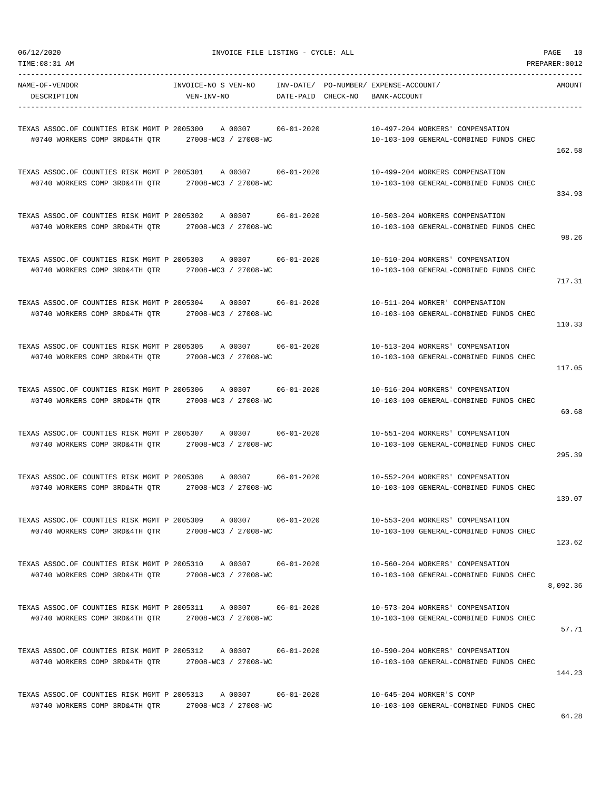| 06/12/2020<br>TIME:08:31 AM                                                                                |                                            | INVOICE FILE LISTING - CYCLE: ALL                           |                                                                            | PAGE 10<br>PREPARER: 0012 |
|------------------------------------------------------------------------------------------------------------|--------------------------------------------|-------------------------------------------------------------|----------------------------------------------------------------------------|---------------------------|
| NAME-OF-VENDOR<br>DESCRIPTION                                                                              | INVOICE-NO S VEN-NO<br>VEN-INV-NO          | INV-DATE/ PO-NUMBER/ EXPENSE-ACCOUNT/<br>DATE-PAID CHECK-NO | BANK-ACCOUNT                                                               | AMOUNT                    |
| TEXAS ASSOC.OF COUNTIES RISK MGMT P 2005300<br>#0740 WORKERS COMP 3RD&4TH QTR                              | A 00307<br>27008-WC3 / 27008-WC            | 06-01-2020                                                  | 10-497-204 WORKERS' COMPENSATION<br>10-103-100 GENERAL-COMBINED FUNDS CHEC | 162.58                    |
| TEXAS ASSOC.OF COUNTIES RISK MGMT P 2005301<br>#0740 WORKERS COMP 3RD&4TH QTR                              | A 00307 06-01-2020<br>27008-WC3 / 27008-WC |                                                             | 10-499-204 WORKERS COMPENSATION<br>10-103-100 GENERAL-COMBINED FUNDS CHEC  | 334.93                    |
| TEXAS ASSOC.OF COUNTIES RISK MGMT P 2005302<br>#0740 WORKERS COMP 3RD&4TH QTR 27008-WC3 / 27008-WC         | A 00307                                    | $06 - 01 - 2020$                                            | 10-503-204 WORKERS COMPENSATION<br>10-103-100 GENERAL-COMBINED FUNDS CHEC  | 98.26                     |
| TEXAS ASSOC.OF COUNTIES RISK MGMT P 2005303<br>#0740 WORKERS COMP 3RD&4TH OTR                              | A 00307<br>27008-WC3 / 27008-WC            | $06 - 01 - 2020$                                            | 10-510-204 WORKERS' COMPENSATION<br>10-103-100 GENERAL-COMBINED FUNDS CHEC | 717.31                    |
| TEXAS ASSOC.OF COUNTIES RISK MGMT P 2005304 A 00307 06-01-2020<br>#0740 WORKERS COMP 3RD&4TH OTR           | 27008-WC3 / 27008-WC                       |                                                             | 10-511-204 WORKER' COMPENSATION<br>10-103-100 GENERAL-COMBINED FUNDS CHEC  | 110.33                    |
| TEXAS ASSOC.OF COUNTIES RISK MGMT P 2005305<br>#0740 WORKERS COMP 3RD&4TH QTR 27008-WC3 / 27008-WC         | A 00307 06-01-2020                         |                                                             | 10-513-204 WORKERS' COMPENSATION<br>10-103-100 GENERAL-COMBINED FUNDS CHEC | 117.05                    |
| TEXAS ASSOC.OF COUNTIES RISK MGMT P 2005306<br>#0740 WORKERS COMP 3RD&4TH QTR                              | A 00307<br>27008-WC3 / 27008-WC            | $06 - 01 - 2020$                                            | 10-516-204 WORKERS' COMPENSATION<br>10-103-100 GENERAL-COMBINED FUNDS CHEC | 60.68                     |
| TEXAS ASSOC.OF COUNTIES RISK MGMT P 2005307 A 00307<br>#0740 WORKERS COMP 3RD&4TH QTR                      | 27008-WC3 / 27008-WC                       | 06-01-2020                                                  | 10-551-204 WORKERS' COMPENSATION<br>10-103-100 GENERAL-COMBINED FUNDS CHEC | 295.39                    |
| TEXAS ASSOC.OF COUNTIES RISK MGMT P 2005308 A 00307<br>#0740 WORKERS COMP 3RD&4TH OTR                      | 27008-WC3 / 27008-WC                       | 06-01-2020                                                  | 10-552-204 WORKERS' COMPENSATION<br>10-103-100 GENERAL-COMBINED FUNDS CHEC | 139.07                    |
| TEXAS ASSOC.OF COUNTIES RISK MGMT P 2005309 A 00307<br>#0740 WORKERS COMP 3RD&4TH QTR 27008-WC3 / 27008-WC |                                            | $06 - 01 - 2020$                                            | 10-553-204 WORKERS' COMPENSATION<br>10-103-100 GENERAL-COMBINED FUNDS CHEC | 123.62                    |
| TEXAS ASSOC.OF COUNTIES RISK MGMT P 2005310 A 00307<br>#0740 WORKERS COMP 3RD&4TH OTR                      | 27008-WC3 / 27008-WC                       | 06-01-2020                                                  | 10-560-204 WORKERS' COMPENSATION<br>10-103-100 GENERAL-COMBINED FUNDS CHEC | 8,092.36                  |
| TEXAS ASSOC.OF COUNTIES RISK MGMT P 2005311 A 00307<br>#0740 WORKERS COMP 3RD&4TH OTR 27008-WC3 / 27008-WC |                                            | 06-01-2020                                                  | 10-573-204 WORKERS' COMPENSATION<br>10-103-100 GENERAL-COMBINED FUNDS CHEC | 57.71                     |
| TEXAS ASSOC.OF COUNTIES RISK MGMT P 2005312 A 00307<br>#0740 WORKERS COMP 3RD&4TH QTR 27008-WC3 / 27008-WC |                                            | 06-01-2020                                                  | 10-590-204 WORKERS' COMPENSATION<br>10-103-100 GENERAL-COMBINED FUNDS CHEC | 144.23                    |
| TEXAS ASSOC.OF COUNTIES RISK MGMT P 2005313 A 00307<br>#0740 WORKERS COMP 3RD&4TH QTR 27008-WC3 / 27008-WC |                                            | $06 - 01 - 2020$                                            | 10-645-204 WORKER'S COMP<br>10-103-100 GENERAL-COMBINED FUNDS CHEC         |                           |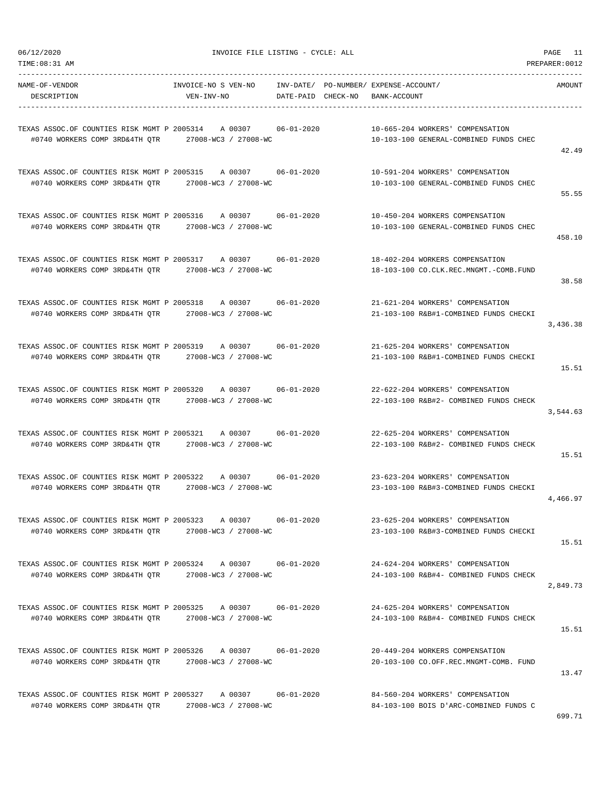| NAME-OF-VENDOR                                                 | INVOICE-NO S VEN-NO |                    | INV-DATE/ PO-NUMBER/ EXPENSE-ACCOUNT/                                                           | AMOUNT   |
|----------------------------------------------------------------|---------------------|--------------------|-------------------------------------------------------------------------------------------------|----------|
| DESCRIPTION                                                    | VEN-INV-NO          | DATE-PAID CHECK-NO | BANK-ACCOUNT                                                                                    |          |
|                                                                |                     |                    |                                                                                                 |          |
| TEXAS ASSOC.OF COUNTIES RISK MGMT P 2005314 A 00307            |                     | 06-01-2020         | 10-665-204 WORKERS' COMPENSATION                                                                |          |
| #0740 WORKERS COMP 3RD&4TH QTR 27008-WC3 / 27008-WC            |                     |                    | 10-103-100 GENERAL-COMBINED FUNDS CHEC                                                          | 42.49    |
| TEXAS ASSOC.OF COUNTIES RISK MGMT P 2005315 A 00307 06-01-2020 |                     |                    | 10-591-204 WORKERS' COMPENSATION                                                                |          |
| #0740 WORKERS COMP 3RD&4TH QTR 27008-WC3 / 27008-WC            |                     |                    | 10-103-100 GENERAL-COMBINED FUNDS CHEC                                                          |          |
|                                                                |                     |                    |                                                                                                 | 55.55    |
| TEXAS ASSOC.OF COUNTIES RISK MGMT P 2005316                    | A 00307             | 06-01-2020         | 10-450-204 WORKERS COMPENSATION                                                                 |          |
| #0740 WORKERS COMP 3RD&4TH QTR 27008-WC3 / 27008-WC            |                     |                    | 10-103-100 GENERAL-COMBINED FUNDS CHEC                                                          |          |
|                                                                |                     |                    |                                                                                                 | 458.10   |
| TEXAS ASSOC.OF COUNTIES RISK MGMT P 2005317                    |                     | A 00307 06-01-2020 | 18-402-204 WORKERS COMPENSATION                                                                 |          |
| #0740 WORKERS COMP 3RD&4TH QTR 27008-WC3 / 27008-WC            |                     |                    | 18-103-100 CO.CLK.REC.MNGMT.-COMB.FUND                                                          |          |
|                                                                |                     |                    |                                                                                                 | 38.58    |
| TEXAS ASSOC.OF COUNTIES RISK MGMT P 2005318 A 00307 06-01-2020 |                     |                    | 21-621-204 WORKERS' COMPENSATION                                                                |          |
| #0740 WORKERS COMP 3RD&4TH QTR 27008-WC3 / 27008-WC            |                     |                    | 21-103-100 R&B#1-COMBINED FUNDS CHECKI                                                          |          |
|                                                                |                     |                    |                                                                                                 | 3,436.38 |
| TEXAS ASSOC.OF COUNTIES RISK MGMT P 2005319 A 00307            |                     | 06-01-2020         | 21-625-204 WORKERS' COMPENSATION                                                                |          |
| #0740 WORKERS COMP 3RD&4TH QTR 27008-WC3 / 27008-WC            |                     |                    | 21-103-100 R&B#1-COMBINED FUNDS CHECKI                                                          |          |
|                                                                |                     |                    |                                                                                                 | 15.51    |
| TEXAS ASSOC.OF COUNTIES RISK MGMT P 2005320                    |                     | A 00307 06-01-2020 | 22-622-204 WORKERS' COMPENSATION                                                                |          |
| #0740 WORKERS COMP 3RD&4TH QTR 27008-WC3 / 27008-WC            |                     |                    | 22-103-100 R&B#2- COMBINED FUNDS CHECK                                                          |          |
|                                                                |                     |                    |                                                                                                 | 3,544.63 |
| TEXAS ASSOC.OF COUNTIES RISK MGMT P 2005321                    | A 00307             | $06 - 01 - 2020$   | 22-625-204 WORKERS' COMPENSATION                                                                |          |
| #0740 WORKERS COMP 3RD&4TH QTR 27008-WC3 / 27008-WC            |                     |                    | 22-103-100 R&B#2- COMBINED FUNDS CHECK                                                          |          |
|                                                                |                     |                    |                                                                                                 | 15.51    |
| TEXAS ASSOC.OF COUNTIES RISK MGMT P 2005322                    | A 00307             | 06-01-2020         | 23-623-204 WORKERS' COMPENSATION                                                                |          |
| #0740 WORKERS COMP 3RD&4TH QTR 27008-WC3 / 27008-WC            |                     |                    | 23-103-100 R&B#3-COMBINED FUNDS CHECKI                                                          |          |
|                                                                |                     |                    |                                                                                                 | 4,466.97 |
| TEXAS ASSOC.OF COUNTIES RISK MGMT P 2005323                    | A 00307             | $06 - 01 - 2020$   | 23-625-204 WORKERS' COMPENSATION                                                                |          |
| #0740 WORKERS COMP 3RD&4TH QTR 27008-WC3 / 27008-WC            |                     |                    | 23-103-100 R&B#3-COMBINED FUNDS CHECKI                                                          |          |
|                                                                |                     |                    |                                                                                                 | 15.51    |
|                                                                |                     |                    | TEXAS ASSOC.OF COUNTIES RISK MGMT P 2005324 A 00307 06-01-2020 24-624-204 WORKERS' COMPENSATION |          |
| #0740 WORKERS COMP 3RD&4TH QTR 27008-WC3 / 27008-WC            |                     |                    | 24-103-100 R&B#4- COMBINED FUNDS CHECK                                                          |          |
|                                                                |                     |                    |                                                                                                 | 2,849.73 |
|                                                                |                     |                    | TEXAS ASSOC.OF COUNTIES RISK MGMT P 2005325 A 00307 06-01-2020 24-625-204 WORKERS' COMPENSATION |          |
| #0740 WORKERS COMP 3RD&4TH QTR 27008-WC3 / 27008-WC            |                     |                    | 24-103-100 R&B#4- COMBINED FUNDS CHECK                                                          |          |
|                                                                |                     |                    |                                                                                                 | 15.51    |
| TEXAS ASSOC.OF COUNTIES RISK MGMT P 2005326 A 00307 06-01-2020 |                     |                    | 20-449-204 WORKERS COMPENSATION                                                                 |          |
| #0740 WORKERS COMP 3RD&4TH QTR 27008-WC3 / 27008-WC            |                     |                    | 20-103-100 CO.OFF.REC.MNGMT-COMB. FUND                                                          |          |
|                                                                |                     |                    |                                                                                                 | 13.47    |
| TEXAS ASSOC.OF COUNTIES RISK MGMT P 2005327 A 00307 06-01-2020 |                     |                    | 84-560-204 WORKERS' COMPENSATION                                                                |          |
| #0740 WORKERS COMP 3RD&4TH QTR 27008-WC3 / 27008-WC            |                     |                    | 84-103-100 BOIS D'ARC-COMBINED FUNDS C                                                          |          |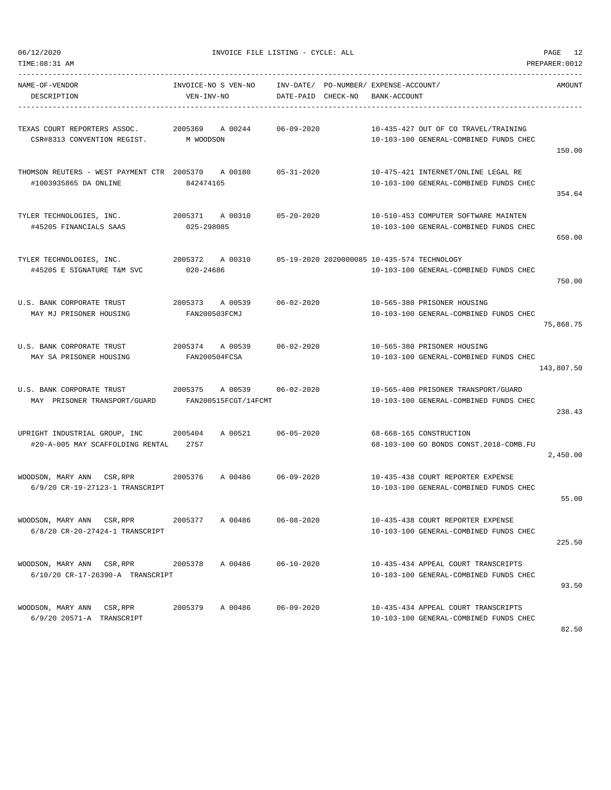| TIME:08:31 AM                                                                            |                                                    |                  |                                                                                       | PREPARER: 0012 |
|------------------------------------------------------------------------------------------|----------------------------------------------------|------------------|---------------------------------------------------------------------------------------|----------------|
| NAME-OF-VENDOR<br>DESCRIPTION                                                            | INVOICE-NO S VEN-NO<br>VEN-INV-NO                  |                  | INV-DATE/ PO-NUMBER/ EXPENSE-ACCOUNT/<br>DATE-PAID CHECK-NO BANK-ACCOUNT              | AMOUNT         |
| TEXAS COURT REPORTERS ASSOC. 2005369<br>CSR#8313 CONVENTION REGIST. M WOODSON            | A 00244                                            | $06 - 09 - 2020$ | 10-435-427 OUT OF CO TRAVEL/TRAINING<br>10-103-100 GENERAL-COMBINED FUNDS CHEC        | 150.00         |
| THOMSON REUTERS - WEST PAYMENT CTR 2005370 A 00180<br>#1003935865 DA ONLINE              | 842474165                                          | $05 - 31 - 2020$ | 10-475-421 INTERNET/ONLINE LEGAL RE<br>10-103-100 GENERAL-COMBINED FUNDS CHEC         | 354.64         |
| TYLER TECHNOLOGIES, INC.<br>#45205 FINANCIALS SAAS                                       | 2005371 A 00310 05-20-2020<br>025-298085           |                  | 10-510-453 COMPUTER SOFTWARE MAINTEN<br>10-103-100 GENERAL-COMBINED FUNDS CHEC        | 650.00         |
| TYLER TECHNOLOGIES, INC.<br>#45205 E SIGNATURE T&M SVC                                   | 2005372 A 00310<br>020-24686                       |                  | 05-19-2020 2020000085 10-435-574 TECHNOLOGY<br>10-103-100 GENERAL-COMBINED FUNDS CHEC | 750.00         |
| U.S. BANK CORPORATE TRUST<br>MAY MJ PRISONER HOUSING                                     | 2005373 A 00539<br>FAN200503FCMJ                   | $06 - 02 - 2020$ | 10-565-380 PRISONER HOUSING<br>10-103-100 GENERAL-COMBINED FUNDS CHEC                 | 75,868.75      |
| U.S. BANK CORPORATE TRUST<br>MAY SA PRISONER HOUSING                                     | 2005374 A 00539 06-02-2020<br>FAN200504FCSA        |                  | 10-565-380 PRISONER HOUSING<br>10-103-100 GENERAL-COMBINED FUNDS CHEC                 | 143,807.50     |
| U.S. BANK CORPORATE TRUST<br>MAY PRISONER TRANSPORT/GUARD                                | 2005375 A 00539 06-02-2020<br>FAN200515FCGT/14FCMT |                  | 10-565-400 PRISONER TRANSPORT/GUARD<br>10-103-100 GENERAL-COMBINED FUNDS CHEC         | 238.43         |
| UPRIGHT INDUSTRIAL GROUP, INC 2005404<br>#20-A-005 MAY SCAFFOLDING RENTAL 2757           | A 00521 06-05-2020                                 |                  | 68-668-165 CONSTRUCTION<br>68-103-100 GO BONDS CONST. 2018-COMB. FU                   | 2,450.00       |
| WOODSON, MARY ANN CSR, RPR 2005376 A 00486 06-09-2020<br>6/9/20 CR-19-27123-1 TRANSCRIPT |                                                    |                  | 10-435-438 COURT REPORTER EXPENSE<br>10-103-100 GENERAL-COMBINED FUNDS CHEC           | 55.00          |
| WOODSON, MARY ANN CSR,RPR<br>6/8/20 CR-20-27424-1 TRANSCRIPT                             | 2005377<br>A 00486                                 | $06 - 08 - 2020$ | 10-435-438 COURT REPORTER EXPENSE<br>10-103-100 GENERAL-COMBINED FUNDS CHEC           | 225.50         |
| WOODSON, MARY ANN CSR, RPR<br>6/10/20 CR-17-26390-A TRANSCRIPT                           | 2005378<br>A 00486                                 | $06 - 10 - 2020$ | 10-435-434 APPEAL COURT TRANSCRIPTS<br>10-103-100 GENERAL-COMBINED FUNDS CHEC         | 93.50          |
| WOODSON, MARY ANN CSR, RPR<br>6/9/20 20571-A TRANSCRIPT                                  | 2005379<br>A 00486                                 | $06 - 09 - 2020$ | 10-435-434 APPEAL COURT TRANSCRIPTS<br>10-103-100 GENERAL-COMBINED FUNDS CHEC         |                |